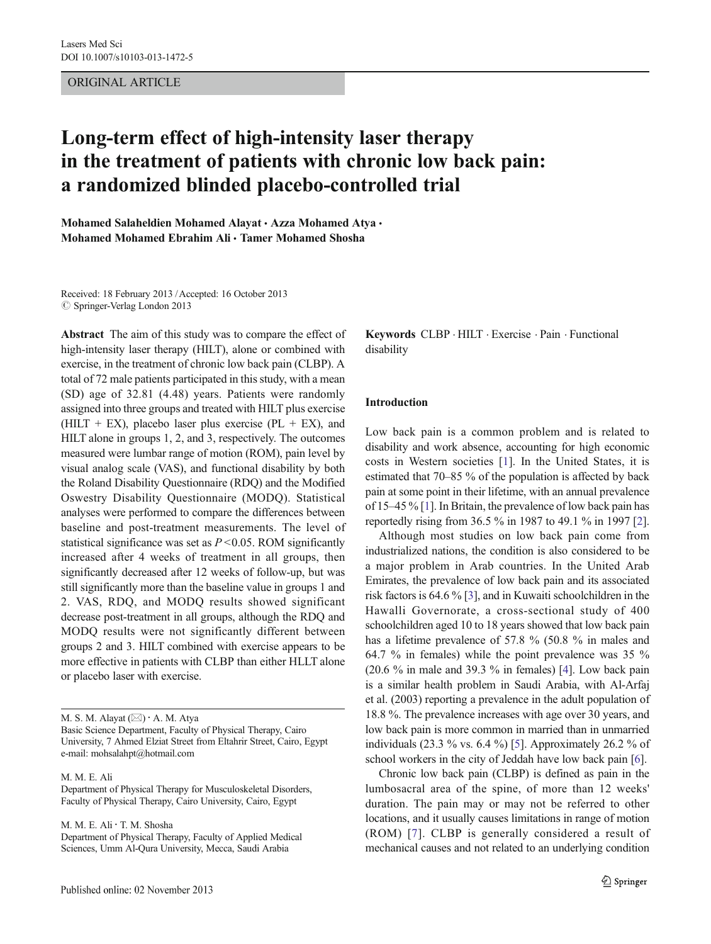# ORIGINAL ARTICLE

# Long-term effect of high-intensity laser therapy in the treatment of patients with chronic low back pain: a randomized blinded placebo-controlled trial

Mohamed Salaheldien Mohamed Alayat · Azza Mohamed Atya · Mohamed Mohamed Ebrahim Ali & Tamer Mohamed Shosha

Received: 18 February 2013 /Accepted: 16 October 2013  $\oslash$  Springer-Verlag London 2013

Abstract The aim of this study was to compare the effect of high-intensity laser therapy (HILT), alone or combined with exercise, in the treatment of chronic low back pain (CLBP). A total of 72 male patients participated in this study, with a mean (SD) age of 32.81 (4.48) years. Patients were randomly assigned into three groups and treated with HILT plus exercise (HILT + EX), placebo laser plus exercise ( $PL$  + EX), and HILT alone in groups 1, 2, and 3, respectively. The outcomes measured were lumbar range of motion (ROM), pain level by visual analog scale (VAS), and functional disability by both the Roland Disability Questionnaire (RDQ) and the Modified Oswestry Disability Questionnaire (MODQ). Statistical analyses were performed to compare the differences between baseline and post-treatment measurements. The level of statistical significance was set as  $P \le 0.05$ . ROM significantly increased after 4 weeks of treatment in all groups, then significantly decreased after 12 weeks of follow-up, but was still significantly more than the baseline value in groups 1 and 2. VAS, RDQ, and MODQ results showed significant decrease post-treatment in all groups, although the RDQ and MODQ results were not significantly different between groups 2 and 3. HILT combined with exercise appears to be more effective in patients with CLBP than either HLLT alone or placebo laser with exercise.

Basic Science Department, Faculty of Physical Therapy, Cairo University, 7 Ahmed Elziat Street from Eltahrir Street, Cairo, Egypt e-mail: mohsalahpt@hotmail.com

#### M. M. E. Ali

Department of Physical Therapy for Musculoskeletal Disorders, Faculty of Physical Therapy, Cairo University, Cairo, Egypt

M. M. E. Ali : T. M. Shosha

Department of Physical Therapy, Faculty of Applied Medical Sciences, Umm Al-Qura University, Mecca, Saudi Arabia

Keywords CLBP . HILT . Exercise . Pain . Functional disability

## Introduction

Low back pain is a common problem and is related to disability and work absence, accounting for high economic costs in Western societies [\[1](#page-7-0)]. In the United States, it is estimated that 70–85 % of the population is affected by back pain at some point in their lifetime, with an annual prevalence of 15–45 % [[1](#page-7-0)]. In Britain, the prevalence of low back pain has reportedly rising from 36.5 % in 1987 to 49.1 % in 1997 [[2\]](#page-7-0).

Although most studies on low back pain come from industrialized nations, the condition is also considered to be a major problem in Arab countries. In the United Arab Emirates, the prevalence of low back pain and its associated risk factors is 64.6 % [\[3\]](#page-7-0), and in Kuwaiti schoolchildren in the Hawalli Governorate, a cross-sectional study of 400 schoolchildren aged 10 to 18 years showed that low back pain has a lifetime prevalence of 57.8 % (50.8 % in males and 64.7 % in females) while the point prevalence was 35 % (20.6 % in male and 39.3 % in females) [[4](#page-7-0)]. Low back pain is a similar health problem in Saudi Arabia, with Al-Arfaj et al. (2003) reporting a prevalence in the adult population of 18.8 %. The prevalence increases with age over 30 years, and low back pain is more common in married than in unmarried individuals (23.3 % vs. 6.4 %) [\[5](#page-7-0)]. Approximately 26.2 % of school workers in the city of Jeddah have low back pain [[6\]](#page-7-0).

Chronic low back pain (CLBP) is defined as pain in the lumbosacral area of the spine, of more than 12 weeks' duration. The pain may or may not be referred to other locations, and it usually causes limitations in range of motion (ROM) [[7](#page-7-0)]. CLBP is generally considered a result of mechanical causes and not related to an underlying condition

M. S. M. Alayat  $(\boxtimes) \cdot$  A. M. Atya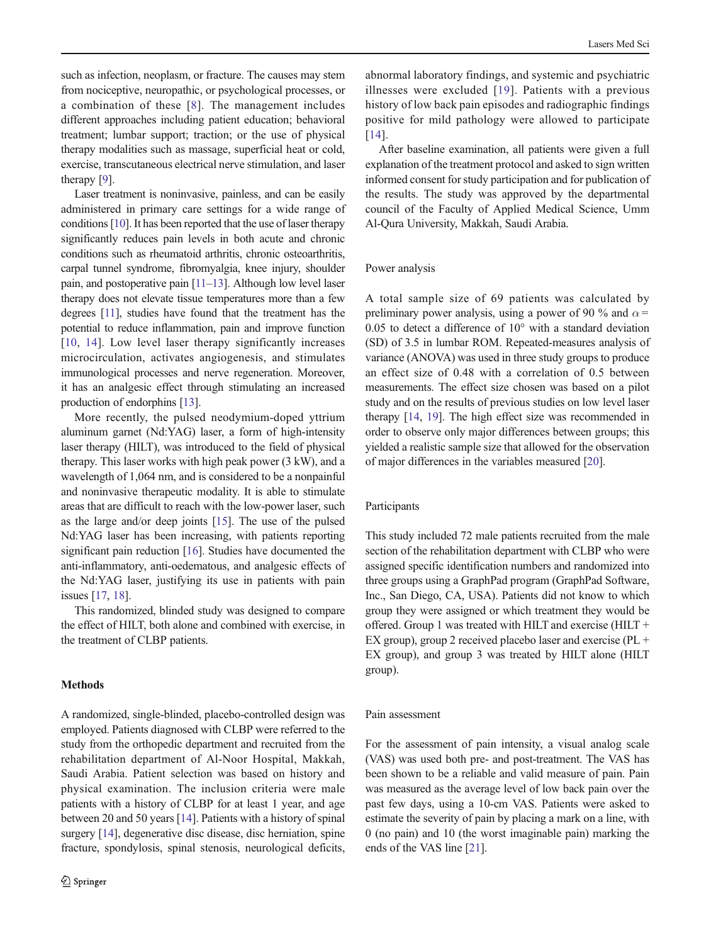such as infection, neoplasm, or fracture. The causes may stem from nociceptive, neuropathic, or psychological processes, or a combination of these [[8](#page-7-0)]. The management includes different approaches including patient education; behavioral treatment; lumbar support; traction; or the use of physical therapy modalities such as massage, superficial heat or cold, exercise, transcutaneous electrical nerve stimulation, and laser therapy [[9\]](#page-7-0).

Laser treatment is noninvasive, painless, and can be easily administered in primary care settings for a wide range of conditions [\[10](#page-7-0)]. It has been reported that the use of laser therapy significantly reduces pain levels in both acute and chronic conditions such as rheumatoid arthritis, chronic osteoarthritis, carpal tunnel syndrome, fibromyalgia, knee injury, shoulder pain, and postoperative pain [[11](#page-7-0)–[13](#page-7-0)]. Although low level laser therapy does not elevate tissue temperatures more than a few degrees [\[11\]](#page-7-0), studies have found that the treatment has the potential to reduce inflammation, pain and improve function [\[10,](#page-7-0) [14\]](#page-7-0). Low level laser therapy significantly increases microcirculation, activates angiogenesis, and stimulates immunological processes and nerve regeneration. Moreover, it has an analgesic effect through stimulating an increased production of endorphins [\[13](#page-7-0)].

More recently, the pulsed neodymium-doped yttrium aluminum garnet (Nd:YAG) laser, a form of high-intensity laser therapy (HILT), was introduced to the field of physical therapy. This laser works with high peak power (3 kW), and a wavelength of 1,064 nm, and is considered to be a nonpainful and noninvasive therapeutic modality. It is able to stimulate areas that are difficult to reach with the low-power laser, such as the large and/or deep joints [\[15\]](#page-7-0). The use of the pulsed Nd:YAG laser has been increasing, with patients reporting significant pain reduction [\[16](#page-7-0)]. Studies have documented the anti-inflammatory, anti-oedematous, and analgesic effects of the Nd:YAG laser, justifying its use in patients with pain issues [[17,](#page-7-0) [18](#page-7-0)].

This randomized, blinded study was designed to compare the effect of HILT, both alone and combined with exercise, in the treatment of CLBP patients.

## Methods

A randomized, single-blinded, placebo-controlled design was employed. Patients diagnosed with CLBP were referred to the study from the orthopedic department and recruited from the rehabilitation department of Al-Noor Hospital, Makkah, Saudi Arabia. Patient selection was based on history and physical examination. The inclusion criteria were male patients with a history of CLBP for at least 1 year, and age between 20 and 50 years [\[14\]](#page-7-0). Patients with a history of spinal surgery [[14](#page-7-0)], degenerative disc disease, disc herniation, spine fracture, spondylosis, spinal stenosis, neurological deficits, abnormal laboratory findings, and systemic and psychiatric illnesses were excluded [[19\]](#page-7-0). Patients with a previous history of low back pain episodes and radiographic findings positive for mild pathology were allowed to participate [\[14\]](#page-7-0).

After baseline examination, all patients were given a full explanation of the treatment protocol and asked to sign written informed consent for study participation and for publication of the results. The study was approved by the departmental council of the Faculty of Applied Medical Science, Umm Al-Qura University, Makkah, Saudi Arabia.

## Power analysis

A total sample size of 69 patients was calculated by preliminary power analysis, using a power of 90 % and  $\alpha$  = 0.05 to detect a difference of 10° with a standard deviation (SD) of 3.5 in lumbar ROM. Repeated-measures analysis of variance (ANOVA) was used in three study groups to produce an effect size of 0.48 with a correlation of 0.5 between measurements. The effect size chosen was based on a pilot study and on the results of previous studies on low level laser therapy [[14,](#page-7-0) [19](#page-7-0)]. The high effect size was recommended in order to observe only major differences between groups; this yielded a realistic sample size that allowed for the observation of major differences in the variables measured [\[20\]](#page-7-0).

# Participants

This study included 72 male patients recruited from the male section of the rehabilitation department with CLBP who were assigned specific identification numbers and randomized into three groups using a GraphPad program (GraphPad Software, Inc., San Diego, CA, USA). Patients did not know to which group they were assigned or which treatment they would be offered. Group 1 was treated with HILT and exercise (HILT + EX group), group 2 received placebo laser and exercise (PL + EX group), and group 3 was treated by HILT alone (HILT group).

## Pain assessment

For the assessment of pain intensity, a visual analog scale (VAS) was used both pre- and post-treatment. The VAS has been shown to be a reliable and valid measure of pain. Pain was measured as the average level of low back pain over the past few days, using a 10-cm VAS. Patients were asked to estimate the severity of pain by placing a mark on a line, with 0 (no pain) and 10 (the worst imaginable pain) marking the ends of the VAS line [\[21\]](#page-7-0).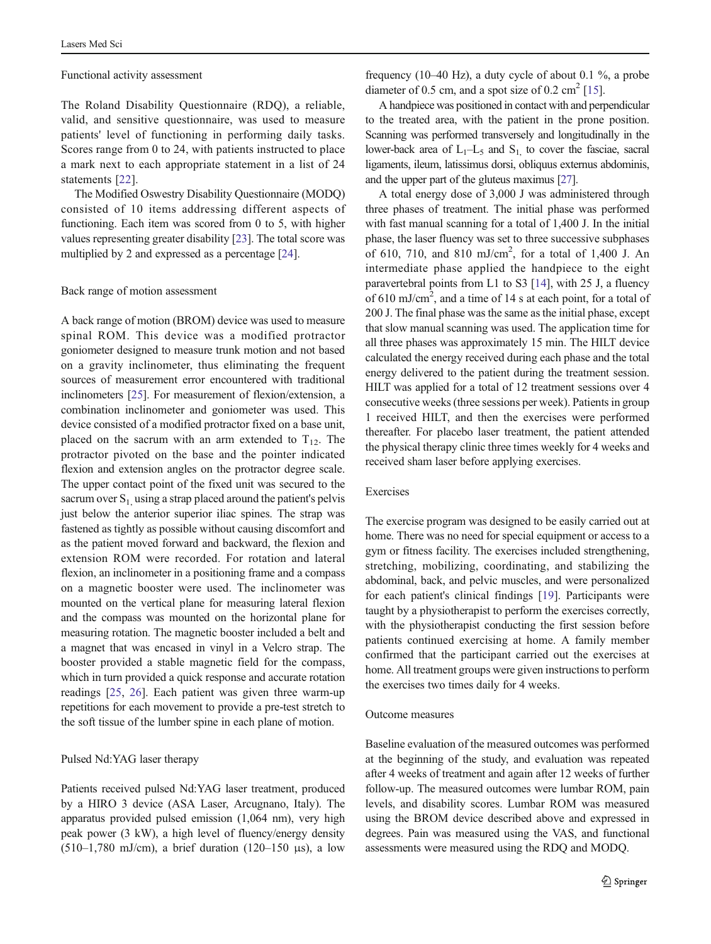#### Functional activity assessment

The Roland Disability Questionnaire (RDQ), a reliable, valid, and sensitive questionnaire, was used to measure patients' level of functioning in performing daily tasks. Scores range from 0 to 24, with patients instructed to place a mark next to each appropriate statement in a list of 24 statements [[22](#page-7-0)].

The Modified Oswestry Disability Questionnaire (MODQ) consisted of 10 items addressing different aspects of functioning. Each item was scored from 0 to 5, with higher values representing greater disability [\[23](#page-7-0)]. The total score was multiplied by 2 and expressed as a percentage [\[24\]](#page-7-0).

#### Back range of motion assessment

A back range of motion (BROM) device was used to measure spinal ROM. This device was a modified protractor goniometer designed to measure trunk motion and not based on a gravity inclinometer, thus eliminating the frequent sources of measurement error encountered with traditional inclinometers [\[25\]](#page-7-0). For measurement of flexion/extension, a combination inclinometer and goniometer was used. This device consisted of a modified protractor fixed on a base unit, placed on the sacrum with an arm extended to  $T_{12}$ . The protractor pivoted on the base and the pointer indicated flexion and extension angles on the protractor degree scale. The upper contact point of the fixed unit was secured to the sacrum over  $S_1$  using a strap placed around the patient's pelvis just below the anterior superior iliac spines. The strap was fastened as tightly as possible without causing discomfort and as the patient moved forward and backward, the flexion and extension ROM were recorded. For rotation and lateral flexion, an inclinometer in a positioning frame and a compass on a magnetic booster were used. The inclinometer was mounted on the vertical plane for measuring lateral flexion and the compass was mounted on the horizontal plane for measuring rotation. The magnetic booster included a belt and a magnet that was encased in vinyl in a Velcro strap. The booster provided a stable magnetic field for the compass, which in turn provided a quick response and accurate rotation readings [[25,](#page-7-0) [26\]](#page-7-0). Each patient was given three warm-up repetitions for each movement to provide a pre-test stretch to the soft tissue of the lumber spine in each plane of motion.

#### Pulsed Nd:YAG laser therapy

Patients received pulsed Nd:YAG laser treatment, produced by a HIRO 3 device (ASA Laser, Arcugnano, Italy). The apparatus provided pulsed emission (1,064 nm), very high peak power (3 kW), a high level of fluency/energy density (510–1,780 mJ/cm), a brief duration (120–150 μs), a low

frequency (10–40 Hz), a duty cycle of about 0.1 %, a probe diameter of 0.5 cm, and a spot size of 0.2 cm<sup>2</sup> [\[15\]](#page-7-0).

A handpiece was positioned in contact with and perpendicular to the treated area, with the patient in the prone position. Scanning was performed transversely and longitudinally in the lower-back area of  $L_1-L_5$  and  $S_1$  to cover the fasciae, sacral ligaments, ileum, latissimus dorsi, obliquus externus abdominis, and the upper part of the gluteus maximus [\[27](#page-7-0)].

A total energy dose of 3,000 J was administered through three phases of treatment. The initial phase was performed with fast manual scanning for a total of 1,400 J. In the initial phase, the laser fluency was set to three successive subphases of 610, 710, and 810 mJ/cm<sup>2</sup>, for a total of 1,400 J. An intermediate phase applied the handpiece to the eight paravertebral points from L1 to S3 [\[14\]](#page-7-0), with 25 J, a fluency of 610 mJ/cm<sup>2</sup>, and a time of 14 s at each point, for a total of 200 J. The final phase was the same as the initial phase, except that slow manual scanning was used. The application time for all three phases was approximately 15 min. The HILT device calculated the energy received during each phase and the total energy delivered to the patient during the treatment session. HILT was applied for a total of 12 treatment sessions over 4 consecutive weeks (three sessions per week). Patients in group 1 received HILT, and then the exercises were performed thereafter. For placebo laser treatment, the patient attended the physical therapy clinic three times weekly for 4 weeks and received sham laser before applying exercises.

# Exercises

The exercise program was designed to be easily carried out at home. There was no need for special equipment or access to a gym or fitness facility. The exercises included strengthening, stretching, mobilizing, coordinating, and stabilizing the abdominal, back, and pelvic muscles, and were personalized for each patient's clinical findings [\[19](#page-7-0)]. Participants were taught by a physiotherapist to perform the exercises correctly, with the physiotherapist conducting the first session before patients continued exercising at home. A family member confirmed that the participant carried out the exercises at home. All treatment groups were given instructions to perform the exercises two times daily for 4 weeks.

### Outcome measures

Baseline evaluation of the measured outcomes was performed at the beginning of the study, and evaluation was repeated after 4 weeks of treatment and again after 12 weeks of further follow-up. The measured outcomes were lumbar ROM, pain levels, and disability scores. Lumbar ROM was measured using the BROM device described above and expressed in degrees. Pain was measured using the VAS, and functional assessments were measured using the RDQ and MODQ.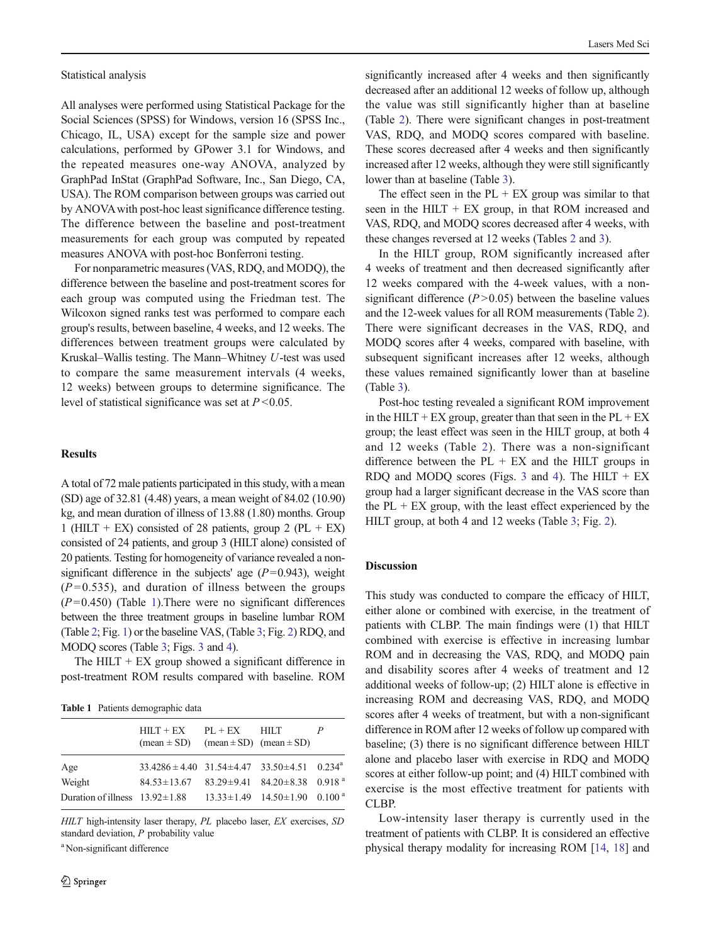All analyses were performed using Statistical Package for the Social Sciences (SPSS) for Windows, version 16 (SPSS Inc., Chicago, IL, USA) except for the sample size and power calculations, performed by GPower 3.1 for Windows, and the repeated measures one-way ANOVA, analyzed by GraphPad InStat (GraphPad Software, Inc., San Diego, CA, USA). The ROM comparison between groups was carried out by ANOVAwith post-hoc least significance difference testing. The difference between the baseline and post-treatment measurements for each group was computed by repeated measures ANOVA with post-hoc Bonferroni testing.

For nonparametric measures (VAS, RDQ, and MODQ), the difference between the baseline and post-treatment scores for each group was computed using the Friedman test. The Wilcoxon signed ranks test was performed to compare each group's results, between baseline, 4 weeks, and 12 weeks. The differences between treatment groups were calculated by Kruskal–Wallis testing. The Mann–Whitney U-test was used to compare the same measurement intervals (4 weeks, 12 weeks) between groups to determine significance. The level of statistical significance was set at  $P < 0.05$ .

#### **Results**

A total of 72 male patients participated in this study, with a mean (SD) age of 32.81 (4.48) years, a mean weight of 84.02 (10.90) kg, and mean duration of illness of 13.88 (1.80) months. Group 1 (HILT + EX) consisted of 28 patients, group 2 ( $PL + EX$ ) consisted of 24 patients, and group 3 (HILT alone) consisted of 20 patients. Testing for homogeneity of variance revealed a nonsignificant difference in the subjects' age  $(P=0.943)$ , weight  $(P=0.535)$ , and duration of illness between the groups  $(P=0.450)$  (Table 1). There were no significant differences between the three treatment groups in baseline lumbar ROM (Table [2](#page-4-0); Fig. [1](#page-4-0)) or the baseline VAS, (Table [3;](#page-5-0) Fig. [2\)](#page-5-0) RDQ, and MODQ scores (Table [3;](#page-5-0) Figs. [3](#page-5-0) and [4\)](#page-6-0).

The  $HILT + EX$  group showed a significant difference in post-treatment ROM results compared with baseline. ROM

|  | Table 1 Patients demographic data |
|--|-----------------------------------|
|--|-----------------------------------|

|                                      | $HII T + FX = PI + EX = HII T$<br>$(\text{mean} \pm \text{SD})$ $(\text{mean} \pm \text{SD})$ $(\text{mean} \pm \text{SD})$ |                                                      | P |
|--------------------------------------|-----------------------------------------------------------------------------------------------------------------------------|------------------------------------------------------|---|
| Age                                  | $33.4286 \pm 4.40$ $31.54 \pm 4.47$ $33.50 \pm 4.51$ $0.234^{\circ}$                                                        |                                                      |   |
| Weight                               | $84.53 \pm 13.67$ $83.29 \pm 9.41$ $84.20 \pm 8.38$ 0.918 <sup>a</sup>                                                      |                                                      |   |
| Duration of illness $13.92 \pm 1.88$ |                                                                                                                             | $13.33 \pm 1.49$ $14.50 \pm 1.90$ 0.100 <sup>a</sup> |   |

HILT high-intensity laser therapy, PL placebo laser, EX exercises, SD standard deviation, P probability value

<sup>a</sup> Non-significant difference

significantly increased after 4 weeks and then significantly decreased after an additional 12 weeks of follow up, although the value was still significantly higher than at baseline (Table [2](#page-4-0)). There were significant changes in post-treatment VAS, RDQ, and MODQ scores compared with baseline. These scores decreased after 4 weeks and then significantly increased after 12 weeks, although they were still significantly lower than at baseline (Table [3\)](#page-5-0).

The effect seen in the  $PL + EX$  group was similar to that seen in the  $HILT + EX$  group, in that ROM increased and VAS, RDQ, and MODQ scores decreased after 4 weeks, with these changes reversed at 12 weeks (Tables [2](#page-4-0) and [3\)](#page-5-0).

In the HILT group, ROM significantly increased after 4 weeks of treatment and then decreased significantly after 12 weeks compared with the 4-week values, with a nonsignificant difference  $(P>0.05)$  between the baseline values and the 12-week values for all ROM measurements (Table [2\)](#page-4-0). There were significant decreases in the VAS, RDQ, and MODQ scores after 4 weeks, compared with baseline, with subsequent significant increases after 12 weeks, although these values remained significantly lower than at baseline (Table [3](#page-5-0)).

Post-hoc testing revealed a significant ROM improvement in the HILT + EX group, greater than that seen in the  $PL + EX$ group; the least effect was seen in the HILT group, at both 4 and 12 weeks (Table [2](#page-4-0)). There was a non-significant difference between the  $PL + EX$  and the HILT groups in RDQ and MODQ scores (Figs. [3](#page-5-0) and [4](#page-6-0)). The HILT + EX group had a larger significant decrease in the VAS score than the  $PL + EX$  group, with the least effect experienced by the HILT group, at both 4 and 12 weeks (Table [3](#page-5-0); Fig. [2](#page-5-0)).

# **Discussion**

This study was conducted to compare the efficacy of HILT, either alone or combined with exercise, in the treatment of patients with CLBP. The main findings were (1) that HILT combined with exercise is effective in increasing lumbar ROM and in decreasing the VAS, RDQ, and MODQ pain and disability scores after 4 weeks of treatment and 12 additional weeks of follow-up; (2) HILT alone is effective in increasing ROM and decreasing VAS, RDQ, and MODQ scores after 4 weeks of treatment, but with a non-significant difference in ROM after 12 weeks of follow up compared with baseline; (3) there is no significant difference between HILT alone and placebo laser with exercise in RDQ and MODQ scores at either follow-up point; and (4) HILT combined with exercise is the most effective treatment for patients with CLBP.

Low-intensity laser therapy is currently used in the treatment of patients with CLBP. It is considered an effective physical therapy modality for increasing ROM [\[14,](#page-7-0) [18\]](#page-7-0) and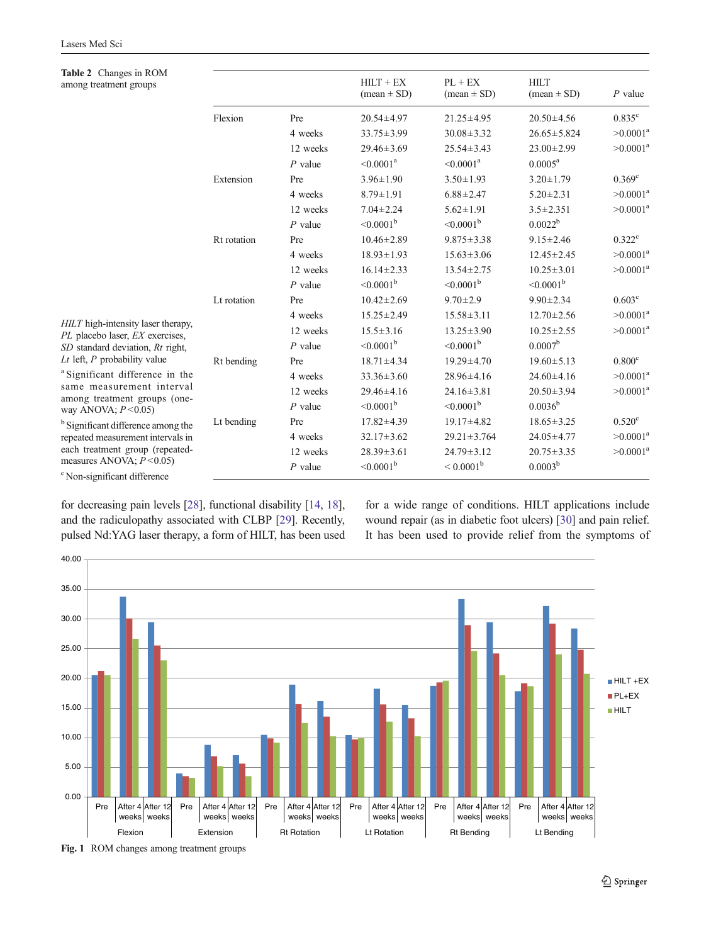<span id="page-4-0"></span>Table 2 Changes in R among tr

| <b>Table 2</b> Changes in ROM<br>among treatment groups               |             |           | $HILT + EX$<br>$mean \pm SD$ | $PL + EX$<br>$(\text{mean} \pm \text{SD})$ | <b>HILT</b><br>$(\text{mean} \pm \text{SD})$ | $P$ value            |
|-----------------------------------------------------------------------|-------------|-----------|------------------------------|--------------------------------------------|----------------------------------------------|----------------------|
|                                                                       | Flexion     | Pre       | $20.54 \pm 4.97$             | $21.25 \pm 4.95$                           | $20.50 \pm 4.56$                             | $0.835$ <sup>c</sup> |
|                                                                       |             | 4 weeks   | $33.75 \pm 3.99$             | $30.08 \pm 3.32$                           | $26.65 \pm 5.824$                            | $>0.0001^a$          |
|                                                                       |             | 12 weeks  | $29.46 \pm 3.69$             | $25.54 \pm 3.43$                           | $23.00 \pm 2.99$                             | $>0.0001^a$          |
|                                                                       |             | $P$ value | $< 0.0001^a$                 | $\leq 0.0001^a$                            | $0.0005^a$                                   |                      |
|                                                                       | Extension   | Pre       | $3.96 \pm 1.90$              | $3.50 \pm 1.93$                            | $3.20 \pm 1.79$                              | 0.369 <sup>c</sup>   |
|                                                                       |             | 4 weeks   | $8.79 \pm 1.91$              | $6.88 \pm 2.47$                            | $5.20 \pm 2.31$                              | $>0.0001^a$          |
|                                                                       |             | 12 weeks  | $7.04 \pm 2.24$              | $5.62 \pm 1.91$                            | $3.5 \pm 2.351$                              | $>0.0001^a$          |
|                                                                       |             | $P$ value | $\leq 0.0001^{\rm b}$        | $\leq 0.0001^{\rm b}$                      | 0.0022 <sup>b</sup>                          |                      |
|                                                                       | Rt rotation | Pre       | $10.46 \pm 2.89$             | $9.875 \pm 3.38$                           | $9.15 \pm 2.46$                              | $0.322$ <sup>c</sup> |
|                                                                       |             | 4 weeks   | $18.93 \pm 1.93$             | $15.63 \pm 3.06$                           | $12.45 \pm 2.45$                             | $>0.0001^a$          |
|                                                                       |             | 12 weeks  | $16.14 \pm 2.33$             | $13.54 \pm 2.75$                           | $10.25 \pm 3.01$                             | $>0.0001^a$          |
|                                                                       |             | $P$ value | $\leq 0.0001^{\rm b}$        | $\leq 0.0001^b$                            | $\leq 0.0001^{\rm b}$                        |                      |
|                                                                       | Lt rotation | Pre       | $10.42 \pm 2.69$             | $9.70 \pm 2.9$                             | $9.90 \pm 2.34$                              | 0.603 <sup>c</sup>   |
|                                                                       |             | 4 weeks   | $15.25 \pm 2.49$             | $15.58 \pm 3.11$                           | $12.70 \pm 2.56$                             | $>0.0001^a$          |
| HILT high-intensity laser therapy,<br>PL placebo laser, EX exercises, |             | 12 weeks  | $15.5 \pm 3.16$              | $13.25 \pm 3.90$                           | $10.25 \pm 2.55$                             | $>0.0001^a$          |
| SD standard deviation, Rt right,                                      |             | $P$ value | $< 0.0001^b$                 | $< 0.0001^b$                               | $0.0007^{\rm b}$                             |                      |
| Lt left, $P$ probability value                                        | Rt bending  | Pre       | $18.71 \pm 4.34$             | $19.29 \pm 4.70$                           | $19.60 \pm 5.13$                             | 0.800 <sup>c</sup>   |
| <sup>a</sup> Significant difference in the                            |             | 4 weeks   | $33.36 \pm 3.60$             | $28.96 \pm 4.16$                           | $24.60 \pm 4.16$                             | $>0.0001^a$          |
| same measurement interval<br>among treatment groups (one-             |             | 12 weeks  | $29.46 \pm 4.16$             | $24.16 \pm 3.81$                           | $20.50 \pm 3.94$                             | $>0.0001^a$          |
| way ANOVA; $P < 0.05$ )                                               |             | $P$ value | $\leq 0.0001^{\rm b}$        | $\leq 0.0001^b$                            | $0.0036^{\rm b}$                             |                      |
| <sup>b</sup> Significant difference among the                         | Lt bending  | Pre       | $17.82 \pm 4.39$             | $19.17 \pm 4.82$                           | $18.65 \pm 3.25$                             | $0.520$ <sup>c</sup> |
| repeated measurement intervals in                                     |             | 4 weeks   | $32.17 \pm 3.62$             | $29.21 \pm 3.764$                          | $24.05 \pm 4.77$                             | $>0.0001^a$          |
| each treatment group (repeated-<br>measures ANOVA; $P < 0.05$ )       |             | 12 weeks  | $28.39 \pm 3.61$             | $24.79 \pm 3.12$                           | $20.75 \pm 3.35$                             | $>0.0001^a$          |
| <sup>c</sup> Non-significant difference                               |             | $P$ value | $\leq 0.0001^{\rm b}$        | $\leq 0.0001^{\rm b}$                      | 0.0003 <sup>b</sup>                          |                      |

for decreasing pain levels [\[28\]](#page-7-0), functional disability [[14](#page-7-0), [18\]](#page-7-0), and the radiculopathy associated with CLBP [\[29](#page-7-0)]. Recently, pulsed Nd:YAG laser therapy, a form of HILT, has been used for a wide range of conditions. HILT applications include wound repair (as in diabetic foot ulcers) [\[30](#page-7-0)] and pain relief. It has been used to provide relief from the symptoms of



Fig. 1 ROM changes among treatment groups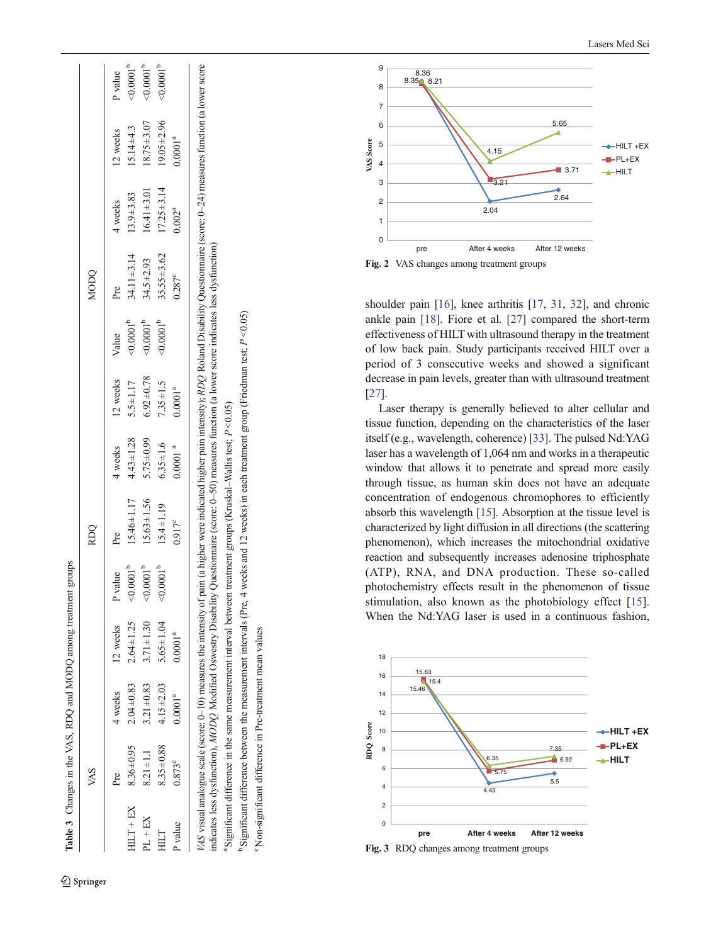<span id="page-5-0"></span>

|                            | VAS             |                 |                 |               | RDQ              |                     |                 |                       | NODQ             |                  |                  |                       |
|----------------------------|-----------------|-----------------|-----------------|---------------|------------------|---------------------|-----------------|-----------------------|------------------|------------------|------------------|-----------------------|
| re                         |                 | 4 weeks         | 12 weeks        | P value       | Pre              | 4 weeks             | 12 weeks        | Value                 | Pre              | 4 weeks          | 12 weeks         | P value               |
| HILT + EX                  | $8.36 \pm 0.95$ | $2.04 \pm 0.83$ | $2.64 \pm 1.25$ | $< 0.0001^b$  | $15.46 \pm 1.17$ | $4.43 \pm 1.28$     | $5.5 \pm 1.17$  | < 0.0001 <sup>b</sup> | $34.11 \pm 3.14$ | $13.9 + 3.83$    | $15.14 \pm 4.3$  | $0.0001^{b}$          |
| $PL + EX$                  | $8.21 \pm 1.1$  | $3.21 \pm 0.83$ | $3.71 \pm 1.30$ | $-0.0001^{b}$ | $15.63 \pm 1.56$ | $5.75 \pm 0.99$     | $6.92 \pm 0.78$ | $0.0001^{b}$          | $34.5 \pm 2.93$  | $16.41 \pm 3.01$ | $18.75 \pm 3.07$ | $-0.0001^{b}$         |
| HILT                       | $8.35 \pm 0.88$ | $4.15 \pm 2.03$ | $5.65 \pm 1.04$ | $-0.0001^{b}$ | $15.4 \pm 1.19$  | $6.35 \pm 1.6$      | $7.35 \pm 1.5$  | <0.0001 <sup>b</sup>  | $35.55 \pm 3.62$ | $17.25 \pm 3.14$ | $19.05 \pm 2.96$ | < 0.0001 <sup>b</sup> |
| $0.873^{\circ}$<br>P value |                 | $0.0001^{a}$    | $0.0001^{a}$    |               | $0.917^{\circ}$  | 0.0001 <sup>a</sup> | $0.0001^{a}$    |                       | $0.287^{\circ}$  | $0.002^{a}$      | $0.0001^{a}$     |                       |

<sup>b</sup> Significant difference between the measurement intervals (Pre, 4 weeks and 12 weeks) in each treatment group (Friedman test;  $P \le 0.05$ )

Significant difference between the measurement intervals (Pre, 4 weeks and 12 weeks) in each treatment group (Friedman test;  $P < 0.05$ )

Non-significant difference in Pre-treatment mean values Non-significant difference in Pre-treatment mean values





Fig. 2 VAS changes among treatment groups

shoulder pain [\[16](#page-7-0)], knee arthritis [\[17](#page-7-0), [31](#page-7-0), [32\]](#page-7-0), and chronic ankle pain [[18](#page-7-0)]. Fiore et al. [[27\]](#page-7-0) compared the short-term effectiveness of HILT with ultrasound therapy in the treatment of low back pain. Study participants received HILT over a period of 3 consecutive weeks and showed a significant decrease in pain levels, greater than with ultrasound treatment [\[27](#page-7-0)].

Laser therapy is generally believed to alter cellular and tissue function, depending on the characteristics of the laser itself (e.g., wavelength, coherence) [[33](#page-7-0)]. The pulsed Nd:YAG laser has a wavelength of 1,064 nm and works in a therapeutic window that allows it to penetrate and spread more easily through tissue, as human skin does not have an adequate concentration of endogenous chromophores to efficiently absorb this wavelength [\[15](#page-7-0)]. Absorption at the tissue level is characterized by light diffusion in all directions (the scattering phenomenon), which increases the mitochondrial oxidative reaction and subsequently increases adenosine triphosphate (ATP), RNA, and DNA production. These so-called photochemistry effects result in the phenomenon of tissue stimulation, also known as the photobiology effect [\[15](#page-7-0)]. When the Nd:YAG laser is used in a continuous fashion,



Fig. 3 RDQ changes among treatment groups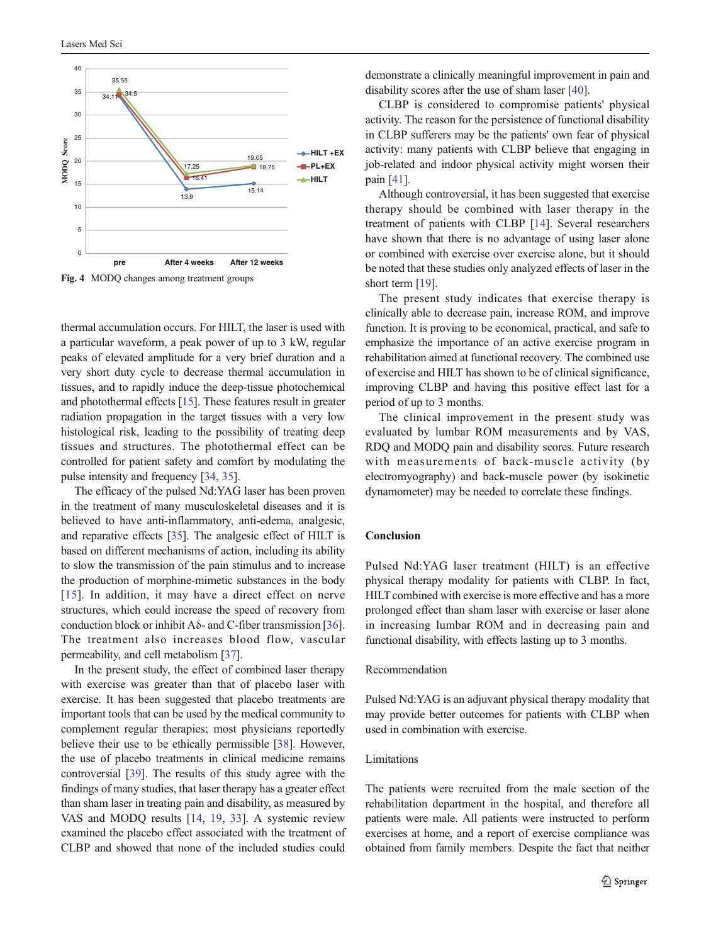<span id="page-6-0"></span>

Fig. 4 MODQ changes among treatment groups

thermal accumulation occurs. For HILT, the laser is used with a particular waveform, a peak power of up to 3 kW, regular peaks of elevated amplitude for a very brief duration and a very short duty cycle to decrease thermal accumulation in tissues, and to rapidly induce the deep-tissue photochemical and photothermal effects [[15](#page-7-0)]. These features result in greater radiation propagation in the target tissues with a very low histological risk, leading to the possibility of treating deep tissues and structures. The photothermal effect can be controlled for patient safety and comfort by modulating the pulse intensity and frequency [\[34,](#page-7-0) [35\]](#page-8-0).

The efficacy of the pulsed Nd:YAG laser has been proven in the treatment of many musculoskeletal diseases and it is believed to have anti-inflammatory, anti-edema, analgesic, and reparative effects [\[35\]](#page-8-0). The analgesic effect of HILT is based on different mechanisms of action, including its ability to slow the transmission of the pain stimulus and to increase the production of morphine-mimetic substances in the body [\[15\]](#page-7-0). In addition, it may have a direct effect on nerve structures, which could increase the speed of recovery from conduction block or inhibit  $A\delta$ - and C-fiber transmission [[36\]](#page-8-0). The treatment also increases blood flow, vascular permeability, and cell metabolism [\[37\]](#page-8-0).

In the present study, the effect of combined laser therapy with exercise was greater than that of placebo laser with exercise. It has been suggested that placebo treatments are important tools that can be used by the medical community to complement regular therapies; most physicians reportedly believe their use to be ethically permissible [\[38](#page-8-0)]. However, the use of placebo treatments in clinical medicine remains controversial [\[39](#page-8-0)]. The results of this study agree with the findings of many studies, that laser therapy has a greater effect than sham laser in treating pain and disability, as measured by VAS and MODQ results [[14,](#page-7-0) [19](#page-7-0), [33\]](#page-7-0). A systemic review examined the placebo effect associated with the treatment of CLBP and showed that none of the included studies could

demonstrate a clinically meaningful improvement in pain and disability scores after the use of sham laser [\[40\]](#page-8-0).

CLBP is considered to compromise patients' physical activity. The reason for the persistence of functional disability in CLBP sufferers may be the patients' own fear of physical activity: many patients with CLBP believe that engaging in job-related and indoor physical activity might worsen their pain [[41](#page-8-0)].

Although controversial, it has been suggested that exercise therapy should be combined with laser therapy in the treatment of patients with CLBP [\[14](#page-7-0)]. Several researchers have shown that there is no advantage of using laser alone or combined with exercise over exercise alone, but it should be noted that these studies only analyzed effects of laser in the short term [\[19](#page-7-0)].

The present study indicates that exercise therapy is clinically able to decrease pain, increase ROM, and improve function. It is proving to be economical, practical, and safe to emphasize the importance of an active exercise program in rehabilitation aimed at functional recovery. The combined use of exercise and HILT has shown to be of clinical significance, improving CLBP and having this positive effect last for a period of up to 3 months.

The clinical improvement in the present study was evaluated by lumbar ROM measurements and by VAS, RDQ and MODQ pain and disability scores. Future research with measurements of back-muscle activity (by electromyography) and back-muscle power (by isokinetic dynamometer) may be needed to correlate these findings.

# Conclusion

Pulsed Nd:YAG laser treatment (HILT) is an effective physical therapy modality for patients with CLBP. In fact, HILT combined with exercise is more effective and has a more prolonged effect than sham laser with exercise or laser alone in increasing lumbar ROM and in decreasing pain and functional disability, with effects lasting up to 3 months.

## Recommendation

Pulsed Nd:YAG is an adjuvant physical therapy modality that may provide better outcomes for patients with CLBP when used in combination with exercise.

## Limitations

The patients were recruited from the male section of the rehabilitation department in the hospital, and therefore all patients were male. All patients were instructed to perform exercises at home, and a report of exercise compliance was obtained from family members. Despite the fact that neither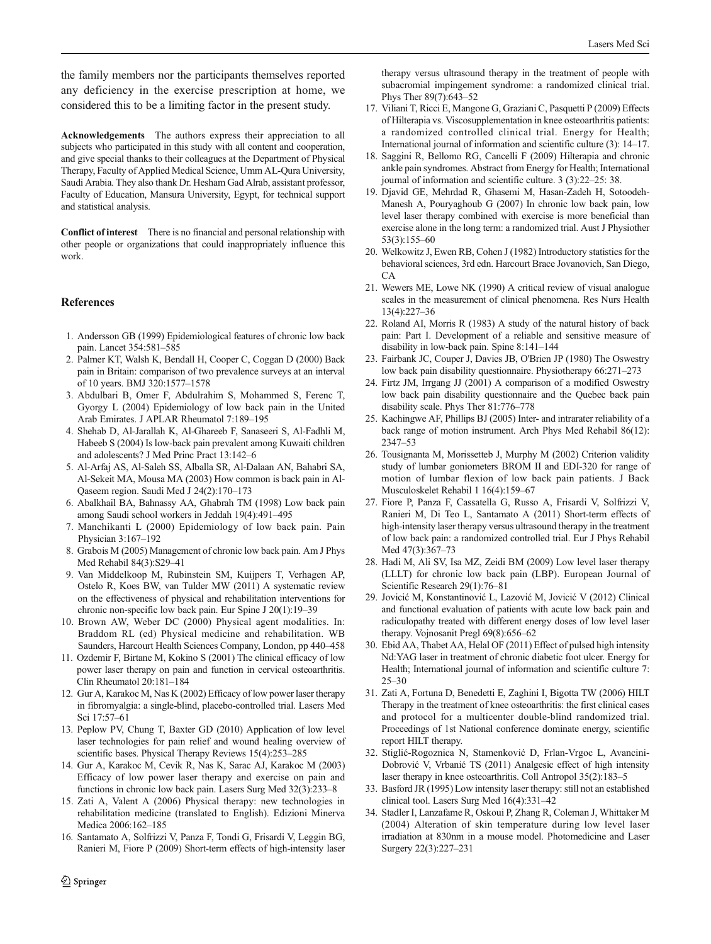<span id="page-7-0"></span>the family members nor the participants themselves reported any deficiency in the exercise prescription at home, we considered this to be a limiting factor in the present study.

Acknowledgements The authors express their appreciation to all subjects who participated in this study with all content and cooperation, and give special thanks to their colleagues at the Department of Physical Therapy, Faculty of Applied Medical Science, Umm AL-Qura University, Saudi Arabia. They also thank Dr. Hesham Gad Alrab, assistant professor, Faculty of Education, Mansura University, Egypt, for technical support and statistical analysis.

Conflict of interest There is no financial and personal relationship with other people or organizations that could inappropriately influence this work.

## References

- 1. Andersson GB (1999) Epidemiological features of chronic low back pain. Lancet 354:581–585
- 2. Palmer KT, Walsh K, Bendall H, Cooper C, Coggan D (2000) Back pain in Britain: comparison of two prevalence surveys at an interval of 10 years. BMJ 320:1577–1578
- 3. Abdulbari B, Omer F, Abdulrahim S, Mohammed S, Ferenc T, Gyorgy L (2004) Epidemiology of low back pain in the United Arab Emirates. J APLAR Rheumatol 7:189–195
- 4. Shehab D, Al-Jarallah K, Al-Ghareeb F, Sanaseeri S, Al-Fadhli M, Habeeb S (2004) Is low-back pain prevalent among Kuwaiti children and adolescents? J Med Princ Pract 13:142–6
- 5. Al-Arfaj AS, Al-Saleh SS, Alballa SR, Al-Dalaan AN, Bahabri SA, Al-Sekeit MA, Mousa MA (2003) How common is back pain in Al-Qaseem region. Saudi Med J 24(2):170–173
- 6. Abalkhail BA, Bahnassy AA, Ghabrah TM (1998) Low back pain among Saudi school workers in Jeddah 19(4):491–495
- 7. Manchikanti L (2000) Epidemiology of low back pain. Pain Physician 3:167–192
- 8. Grabois M (2005) Management of chronic low back pain. Am J Phys Med Rehabil 84(3):S29–41
- 9. Van Middelkoop M, Rubinstein SM, Kuijpers T, Verhagen AP, Ostelo R, Koes BW, van Tulder MW (2011) A systematic review on the effectiveness of physical and rehabilitation interventions for chronic non-specific low back pain. Eur Spine J 20(1):19–39
- 10. Brown AW, Weber DC (2000) Physical agent modalities. In: Braddom RL (ed) Physical medicine and rehabilitation. WB Saunders, Harcourt Health Sciences Company, London, pp 440–458
- 11. Ozdemir F, Birtane M, Kokino S (2001) The clinical efficacy of low power laser therapy on pain and function in cervical osteoarthritis. Clin Rheumatol 20:181–184
- 12. Gur A, Karakoc M, Nas K (2002) Efficacy of low power laser therapy in fibromyalgia: a single-blind, placebo-controlled trial. Lasers Med Sci 17:57–61
- 13. Peplow PV, Chung T, Baxter GD (2010) Application of low level laser technologies for pain relief and wound healing overview of scientific bases. Physical Therapy Reviews 15(4):253–285
- 14. Gur A, Karakoc M, Cevik R, Nas K, Sarac AJ, Karakoc M (2003) Efficacy of low power laser therapy and exercise on pain and functions in chronic low back pain. Lasers Surg Med 32(3):233–8
- 15. Zati A, Valent A (2006) Physical therapy: new technologies in rehabilitation medicine (translated to English). Edizioni Minerva Medica 2006:162–185
- 16. Santamato A, Solfrizzi V, Panza F, Tondi G, Frisardi V, Leggin BG, Ranieri M, Fiore P (2009) Short-term effects of high-intensity laser

 $\textcircled{2}$  Springer

therapy versus ultrasound therapy in the treatment of people with subacromial impingement syndrome: a randomized clinical trial. Phys Ther 89(7):643–52

- 17. Viliani T, Ricci E, Mangone G, Graziani C, Pasquetti P (2009) Effects of Hilterapia vs. Viscosupplementation in knee osteoarthritis patients: a randomized controlled clinical trial. Energy for Health; International journal of information and scientific culture (3): 14–17.
- 18. Saggini R, Bellomo RG, Cancelli F (2009) Hilterapia and chronic ankle pain syndromes. Abstract from Energy for Health; International journal of information and scientific culture. 3 (3):22–25: 38.
- 19. Djavid GE, Mehrdad R, Ghasemi M, Hasan-Zadeh H, Sotoodeh-Manesh A, Pouryaghoub G (2007) In chronic low back pain, low level laser therapy combined with exercise is more beneficial than exercise alone in the long term: a randomized trial. Aust J Physiother 53(3):155–60
- 20. Welkowitz J, Ewen RB, Cohen J (1982) Introductory statistics for the behavioral sciences, 3rd edn. Harcourt Brace Jovanovich, San Diego, CA
- 21. Wewers ME, Lowe NK (1990) A critical review of visual analogue scales in the measurement of clinical phenomena. Res Nurs Health 13(4):227–36
- 22. Roland AI, Morris R (1983) A study of the natural history of back pain: Part I. Development of a reliable and sensitive measure of disability in low-back pain. Spine 8:141–144
- 23. Fairbank JC, Couper J, Davies JB, O'Brien JP (1980) The Oswestry low back pain disability questionnaire. Physiotherapy 66:271–273
- 24. Firtz JM, Irrgang JJ (2001) A comparison of a modified Oswestry low back pain disability questionnaire and the Quebec back pain disability scale. Phys Ther 81:776–778
- 25. Kachingwe AF, Phillips BJ (2005) Inter- and intrarater reliability of a back range of motion instrument. Arch Phys Med Rehabil 86(12): 2347–53
- 26. Tousignanta M, Morissetteb J, Murphy M (2002) Criterion validity study of lumbar goniometers BROM II and EDI-320 for range of motion of lumbar flexion of low back pain patients. J Back Musculoskelet Rehabil 1 16(4):159–67
- 27. Fiore P, Panza F, Cassatella G, Russo A, Frisardi V, Solfrizzi V, Ranieri M, Di Teo L, Santamato A (2011) Short-term effects of high-intensity laser therapy versus ultrasound therapy in the treatment of low back pain: a randomized controlled trial. Eur J Phys Rehabil Med 47(3):367–73
- 28. Hadi M, Ali SV, Isa MZ, Zeidi BM (2009) Low level laser therapy (LLLT) for chronic low back pain (LBP). European Journal of Scientific Research 29(1):76–81
- 29. Jovicić M, Konstantinović L, Lazović M, Jovicić V (2012) Clinical and functional evaluation of patients with acute low back pain and radiculopathy treated with different energy doses of low level laser therapy. Vojnosanit Pregl 69(8):656–62
- 30. Ebid AA, Thabet AA, Helal OF (2011) Effect of pulsed high intensity Nd:YAG laser in treatment of chronic diabetic foot ulcer. Energy for Health; International journal of information and scientific culture 7: 25–30
- 31. Zati A, Fortuna D, Benedetti E, Zaghini I, Bigotta TW (2006) HILT Therapy in the treatment of knee osteoarthritis: the first clinical cases and protocol for a multicenter double-blind randomized trial. Proceedings of 1st National conference dominate energy, scientific report HILT therapy.
- 32. Stiglić-Rogoznica N, Stamenković D, Frlan-Vrgoc L, Avancini-Dobrović V, Vrbanić TS (2011) Analgesic effect of high intensity laser therapy in knee osteoarthritis. Coll Antropol 35(2):183–5
- 33. Basford JR (1995) Low intensity laser therapy: still not an established clinical tool. Lasers Surg Med 16(4):331–42
- 34. Stadler I, Lanzafame R, Oskoui P, Zhang R, Coleman J, Whittaker M (2004) Alteration of skin temperature during low level laser irradiation at 830nm in a mouse model. Photomedicine and Laser Surgery 22(3):227–231